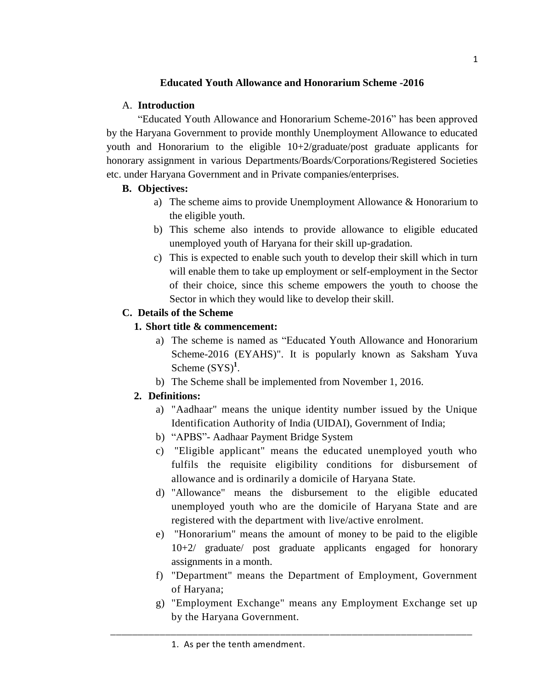# **Educated Youth Allowance and Honorarium Scheme -2016**

## A. **Introduction**

"Educated Youth Allowance and Honorarium Scheme-2016" has been approved by the Haryana Government to provide monthly Unemployment Allowance to educated youth and Honorarium to the eligible 10+2/graduate/post graduate applicants for honorary assignment in various Departments/Boards/Corporations/Registered Societies etc. under Haryana Government and in Private companies/enterprises.

## **B. Objectives:**

- a) The scheme aims to provide Unemployment Allowance & Honorarium to the eligible youth.
- b) This scheme also intends to provide allowance to eligible educated unemployed youth of Haryana for their skill up-gradation.
- c) This is expected to enable such youth to develop their skill which in turn will enable them to take up employment or self-employment in the Sector of their choice, since this scheme empowers the youth to choose the Sector in which they would like to develop their skill.

# **C. Details of the Scheme**

## **1. Short title & commencement:**

- a) The scheme is named as "Educated Youth Allowance and Honorarium Scheme-2016 (EYAHS)". It is popularly known as Saksham Yuva Scheme  $(SYS)^1$ .
- b) The Scheme shall be implemented from November 1, 2016.

# **2. Definitions:**

- a) "Aadhaar" means the unique identity number issued by the Unique Identification Authority of India (UIDAI), Government of India;
- b) "APBS"- Aadhaar Payment Bridge System
- c) "Eligible applicant" means the educated unemployed youth who fulfils the requisite eligibility conditions for disbursement of allowance and is ordinarily a domicile of Haryana State.
- d) "Allowance" means the disbursement to the eligible educated unemployed youth who are the domicile of Haryana State and are registered with the department with live/active enrolment.
- e) "Honorarium" means the amount of money to be paid to the eligible 10+2/ graduate/ post graduate applicants engaged for honorary assignments in a month.
- f) "Department" means the Department of Employment, Government of Haryana;
- g) "Employment Exchange" means any Employment Exchange set up by the Haryana Government.

\_\_\_\_\_\_\_\_\_\_\_\_\_\_\_\_\_\_\_\_\_\_\_\_\_\_\_\_\_\_\_\_\_\_\_\_\_\_\_\_\_\_\_\_\_\_\_\_\_\_\_\_\_\_\_\_\_\_\_\_\_\_\_\_\_\_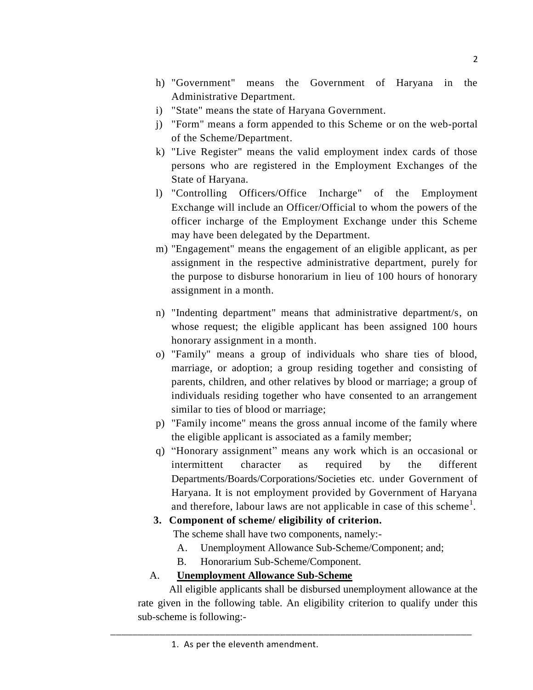- h) "Government" means the Government of Haryana in the Administrative Department.
- i) "State" means the state of Haryana Government.
- j) "Form" means a form appended to this Scheme or on the web-portal of the Scheme/Department.
- k) "Live Register" means the valid employment index cards of those persons who are registered in the Employment Exchanges of the State of Haryana.
- l) "Controlling Officers/Office Incharge" of the Employment Exchange will include an Officer/Official to whom the powers of the officer incharge of the Employment Exchange under this Scheme may have been delegated by the Department.
- m) "Engagement" means the engagement of an eligible applicant, as per assignment in the respective administrative department, purely for the purpose to disburse honorarium in lieu of 100 hours of honorary assignment in a month.
- n) "Indenting department" means that administrative department/s, on whose request; the eligible applicant has been assigned 100 hours honorary assignment in a month.
- o) "Family" means a group of individuals who share ties of blood, marriage, or adoption; a group residing together and consisting of parents, children, and other relatives by blood or marriage; a group of individuals residing together who have consented to an arrangement similar to ties of blood or marriage;
- p) "Family income" means the gross annual income of the family where the eligible applicant is associated as a family member;
- q) "Honorary assignment" means any work which is an occasional or intermittent character as required by the different Departments/Boards/Corporations/Societies etc. under Government of Haryana. It is not employment provided by Government of Haryana and therefore, labour laws are not applicable in case of this scheme<sup>1</sup>.

## **3. Component of scheme/ eligibility of criterion.**

The scheme shall have two components, namely:-

- A. Unemployment Allowance Sub-Scheme/Component; and;
- B. Honorarium Sub-Scheme/Component.

# A. **Unemployment Allowance Sub-Scheme**

All eligible applicants shall be disbursed unemployment allowance at the rate given in the following table. An eligibility criterion to qualify under this sub-scheme is following:-

\_\_\_\_\_\_\_\_\_\_\_\_\_\_\_\_\_\_\_\_\_\_\_\_\_\_\_\_\_\_\_\_\_\_\_\_\_\_\_\_\_\_\_\_\_\_\_\_\_\_\_\_\_\_\_\_\_\_\_\_\_\_\_\_\_\_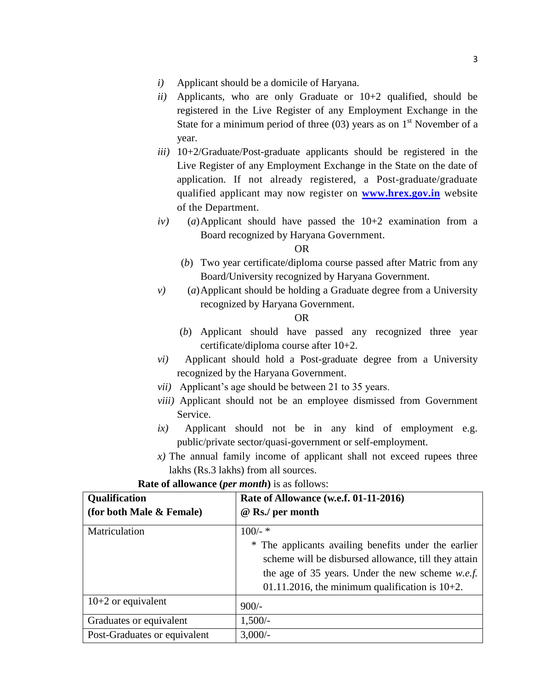- *i)* Applicant should be a domicile of Haryana.
- *ii)* Applicants, who are only Graduate or 10+2 qualified, should be registered in the Live Register of any Employment Exchange in the State for a minimum period of three (03) years as on  $1<sup>st</sup>$  November of a year.
- *iii)* 10+2/Graduate/Post-graduate applicants should be registered in the Live Register of any Employment Exchange in the State on the date of application. If not already registered, a Post-graduate/graduate qualified applicant may now register on **[www.hrex.gov.in](http://www.hrex.gov.in/)** website of the Department.
- *iv)* (*a*)Applicant should have passed the 10+2 examination from a Board recognized by Haryana Government.

OR

- (*b*) Two year certificate/diploma course passed after Matric from any Board/University recognized by Haryana Government.
- *v)* (*a*)Applicant should be holding a Graduate degree from a University recognized by Haryana Government.

#### OR

- (*b*) Applicant should have passed any recognized three year certificate/diploma course after 10+2.
- *vi)* Applicant should hold a Post-graduate degree from a University recognized by the Haryana Government.
- *vii)* Applicant's age should be between 21 to 35 years.
- *viii)* Applicant should not be an employee dismissed from Government Service.
- *ix)* Applicant should not be in any kind of employment e.g. public/private sector/quasi-government or self-employment.
- *x)* The annual family income of applicant shall not exceed rupees three lakhs (Rs.3 lakhs) from all sources.

| Qualification                | Rate of Allowance (w.e.f. 01-11-2016)                   |  |
|------------------------------|---------------------------------------------------------|--|
| (for both Male & Female)     | @ Rs./ per month                                        |  |
| Matriculation                | $100/-$ *                                               |  |
|                              | * The applicants availing benefits under the earlier    |  |
|                              | scheme will be disbursed allowance, till they attain    |  |
|                              | the age of 35 years. Under the new scheme <i>w.e.f.</i> |  |
|                              | 01.11.2016, the minimum qualification is $10+2$ .       |  |
| $10+2$ or equivalent         | $900/-$                                                 |  |
| Graduates or equivalent      | $1,500/-$                                               |  |
| Post-Graduates or equivalent | $3,000/-$                                               |  |

**Rate of allowance (***per month***)** is as follows: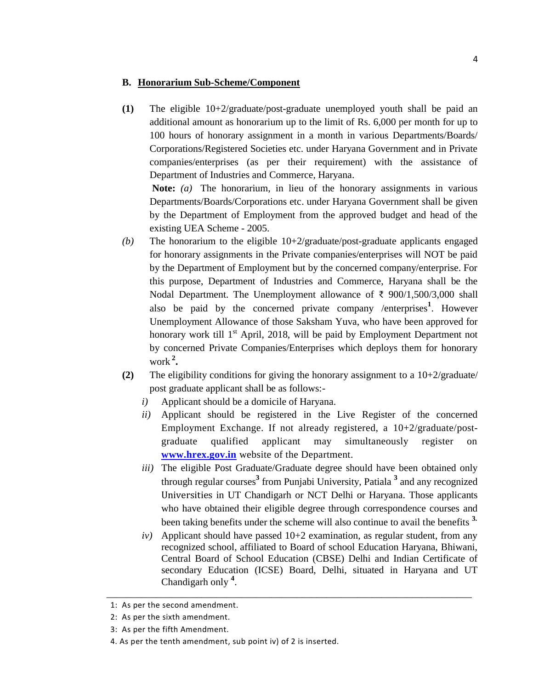#### **B. Honorarium Sub-Scheme/Component**

**(1)** The eligible 10+2/graduate/post-graduate unemployed youth shall be paid an additional amount as honorarium up to the limit of Rs. 6,000 per month for up to 100 hours of honorary assignment in a month in various Departments/Boards/ Corporations/Registered Societies etc. under Haryana Government and in Private companies/enterprises (as per their requirement) with the assistance of Department of Industries and Commerce, Haryana.

**Note:** *(a)* The honorarium, in lieu of the honorary assignments in various Departments/Boards/Corporations etc. under Haryana Government shall be given by the Department of Employment from the approved budget and head of the existing UEA Scheme - 2005.

- *(b)* The honorarium to the eligible 10+2/graduate/post-graduate applicants engaged for honorary assignments in the Private companies/enterprises will NOT be paid by the Department of Employment but by the concerned company/enterprise. For this purpose, Department of Industries and Commerce, Haryana shall be the Nodal Department. The Unemployment allowance of ₹ 900/1,500/3,000 shall also be paid by the concerned private company /enterprises**<sup>1</sup>** . However Unemployment Allowance of those Saksham Yuva, who have been approved for honorary work till  $1<sup>st</sup>$  April, 2018, will be paid by Employment Department not by concerned Private Companies/Enterprises which deploys them for honorary work **<sup>2</sup> .**
- **(2)** The eligibility conditions for giving the honorary assignment to a  $10+2\text{/graduate/}$ post graduate applicant shall be as follows:
	- *i)* Applicant should be a domicile of Haryana.
	- *ii)* Applicant should be registered in the Live Register of the concerned Employment Exchange. If not already registered, a 10+2/graduate/postgraduate qualified applicant may simultaneously register on **[www.hrex.gov.in](http://www.hrex.gov.in/)** website of the Department.
	- *iii*) The eligible Post Graduate/Graduate degree should have been obtained only through regular courses**<sup>3</sup>** from Punjabi University, Patiala **<sup>3</sup>** and any recognized Universities in UT Chandigarh or NCT Delhi or Haryana. Those applicants who have obtained their eligible degree through correspondence courses and been taking benefits under the scheme will also continue to avail the benefits **3.**
	- $iv)$  Applicant should have passed  $10+2$  examination, as regular student, from any recognized school, affiliated to Board of school Education Haryana, Bhiwani, Central Board of School Education (CBSE) Delhi and Indian Certificate of secondary Education (ICSE) Board, Delhi, situated in Haryana and UT Chandigarh only **<sup>4</sup>** .

\_\_\_\_\_\_\_\_\_\_\_\_\_\_\_\_\_\_\_\_\_\_\_\_\_\_\_\_\_\_\_\_\_\_\_\_\_\_\_\_\_\_\_\_\_\_\_\_\_\_\_\_\_\_\_\_\_\_\_\_\_\_\_\_\_\_\_\_\_\_\_\_\_

<sup>1:</sup> As per the second amendment.

<sup>2:</sup> As per the sixth amendment.

<sup>3:</sup> As per the fifth Amendment.

<sup>4.</sup> As per the tenth amendment, sub point iv) of 2 is inserted.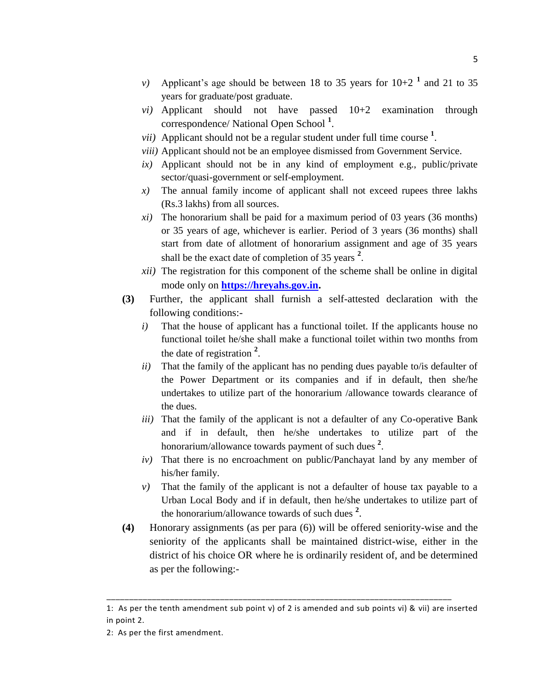- *v*) Applicant's age should be between 18 to 35 years for  $10+2^{-1}$  and 21 to 35 years for graduate/post graduate.
- *vi)* Applicant should not have passed 10+2 examination through correspondence/ National Open School **<sup>1</sup>** .
- *vii)* Applicant should not be a regular student under full time course **<sup>1</sup>** .
- *viii)* Applicant should not be an employee dismissed from Government Service.
- *ix)* Applicant should not be in any kind of employment e.g., public/private sector/quasi-government or self-employment.
- *x)* The annual family income of applicant shall not exceed rupees three lakhs (Rs.3 lakhs) from all sources.
- *xi)* The honorarium shall be paid for a maximum period of 03 years (36 months) or 35 years of age, whichever is earlier. Period of 3 years (36 months) shall start from date of allotment of honorarium assignment and age of 35 years shall be the exact date of completion of 35 years **<sup>2</sup>** .
- *xii)* The registration for this component of the scheme shall be online in digital mode only on **[https://hreyahs.gov.in.](https://hreyahs.gov.in/)**
- **(3)** Further, the applicant shall furnish a self-attested declaration with the following conditions:
	- *i*) That the house of applicant has a functional toilet. If the applicants house no functional toilet he/she shall make a functional toilet within two months from the date of registration **<sup>2</sup>** .
	- *ii)* That the family of the applicant has no pending dues payable to/is defaulter of the Power Department or its companies and if in default, then she/he undertakes to utilize part of the honorarium /allowance towards clearance of the dues.
	- *iii*) That the family of the applicant is not a defaulter of any Co-operative Bank and if in default, then he/she undertakes to utilize part of the honorarium/allowance towards payment of such dues **<sup>2</sup>** .
	- *iv)* That there is no encroachment on public/Panchayat land by any member of his/her family.
	- *v)* That the family of the applicant is not a defaulter of house tax payable to a Urban Local Body and if in default, then he/she undertakes to utilize part of the honorarium/allowance towards of such dues **<sup>2</sup>** .
- **(4)** Honorary assignments (as per para (6)) will be offered seniority-wise and the seniority of the applicants shall be maintained district-wise, either in the district of his choice OR where he is ordinarily resident of, and be determined as per the following:-

\_\_\_\_\_\_\_\_\_\_\_\_\_\_\_\_\_\_\_\_\_\_\_\_\_\_\_\_\_\_\_\_\_\_\_\_\_\_\_\_\_\_\_\_\_\_\_\_\_\_\_\_\_\_\_\_\_\_\_\_\_\_\_\_\_\_\_\_\_\_\_\_\_\_\_\_

<sup>1:</sup> As per the tenth amendment sub point v) of 2 is amended and sub points vi) & vii) are inserted in point 2.

<sup>2:</sup> As per the first amendment.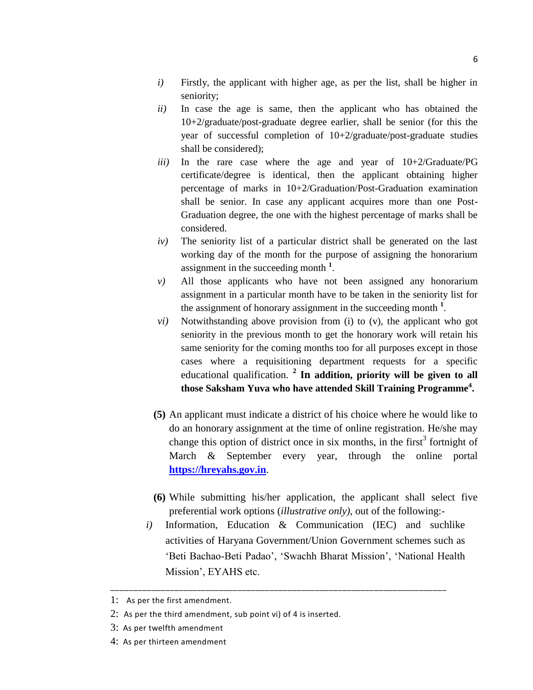- *i*) Firstly, the applicant with higher age, as per the list, shall be higher in seniority;
- *ii)* In case the age is same, then the applicant who has obtained the 10+2/graduate/post-graduate degree earlier, shall be senior (for this the year of successful completion of 10+2/graduate/post-graduate studies shall be considered);
- *iii)* In the rare case where the age and year of 10+2/Graduate/PG certificate/degree is identical, then the applicant obtaining higher percentage of marks in 10+2/Graduation/Post-Graduation examination shall be senior. In case any applicant acquires more than one Post-Graduation degree, the one with the highest percentage of marks shall be considered.
- *iv)* The seniority list of a particular district shall be generated on the last working day of the month for the purpose of assigning the honorarium assignment in the succeeding month **<sup>1</sup>** .
- *v)* All those applicants who have not been assigned any honorarium assignment in a particular month have to be taken in the seniority list for the assignment of honorary assignment in the succeeding month **<sup>1</sup>** .
- *vi)* Notwithstanding above provision from (i) to (v), the applicant who got seniority in the previous month to get the honorary work will retain his same seniority for the coming months too for all purposes except in those cases where a requisitioning department requests for a specific educational qualification. **<sup>2</sup> In addition, priority will be given to all those Saksham Yuva who have attended Skill Training Programme<sup>4</sup> .**
- **(5)** An applicant must indicate a district of his choice where he would like to do an honorary assignment at the time of online registration. He/she may change this option of district once in six months, in the first<sup>3</sup> fortnight of March & September every year, through the online portal **[https://hreyahs.gov.in](https://hreyahs.gov.in/)**.
- **(6)** While submitting his/her application, the applicant shall select five preferential work options (*illustrative only),* out of the following:-
- *i)* Information, Education & Communication (IEC) and suchlike activities of Haryana Government/Union Government schemes such as 'Beti Bachao-Beti Padao', 'Swachh Bharat Mission', 'National Health Mission', EYAHS etc.

\_\_\_\_\_\_\_\_\_\_\_\_\_\_\_\_\_\_\_\_\_\_\_\_\_\_\_\_\_\_\_\_\_\_\_\_\_\_\_\_\_\_\_\_\_\_\_\_\_\_\_\_\_\_\_\_\_\_\_\_\_\_\_\_\_\_\_\_\_\_\_\_\_\_

<sup>1:</sup> As per the first amendment.

<sup>2:</sup> As per the third amendment, sub point vi) of 4 is inserted.

<sup>3:</sup> As per twelfth amendment

<sup>4:</sup> As per thirteen amendment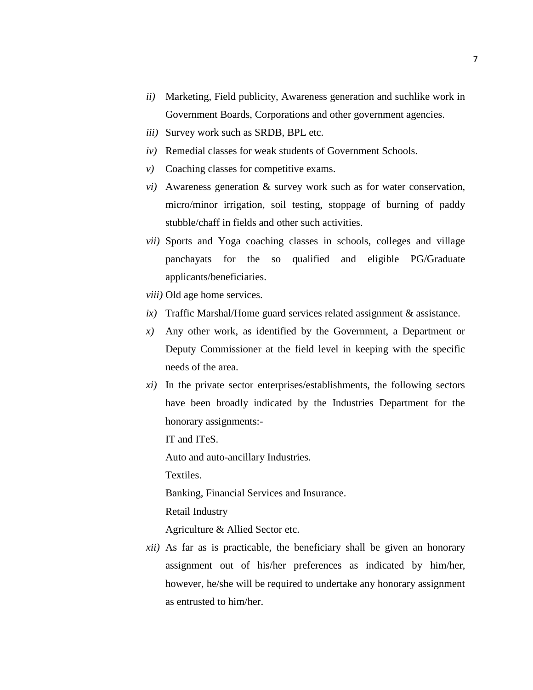- *ii)* Marketing, Field publicity, Awareness generation and suchlike work in Government Boards, Corporations and other government agencies.
- *iii)* Survey work such as SRDB, BPL etc.
- *iv)* Remedial classes for weak students of Government Schools.
- *v*) Coaching classes for competitive exams.
- *vi)* Awareness generation & survey work such as for water conservation, micro/minor irrigation, soil testing, stoppage of burning of paddy stubble/chaff in fields and other such activities.
- *vii)* Sports and Yoga coaching classes in schools, colleges and village panchayats for the so qualified and eligible PG/Graduate applicants/beneficiaries.
- *viii)* Old age home services.
- *ix)* Traffic Marshal/Home guard services related assignment & assistance.
- *x)* Any other work, as identified by the Government, a Department or Deputy Commissioner at the field level in keeping with the specific needs of the area.
- *xi)* In the private sector enterprises/establishments, the following sectors have been broadly indicated by the Industries Department for the honorary assignments:-

IT and ITeS.

Auto and auto-ancillary Industries.

Textiles.

Banking, Financial Services and Insurance.

Retail Industry

Agriculture & Allied Sector etc.

*xii)* As far as is practicable, the beneficiary shall be given an honorary assignment out of his/her preferences as indicated by him/her, however, he/she will be required to undertake any honorary assignment as entrusted to him/her.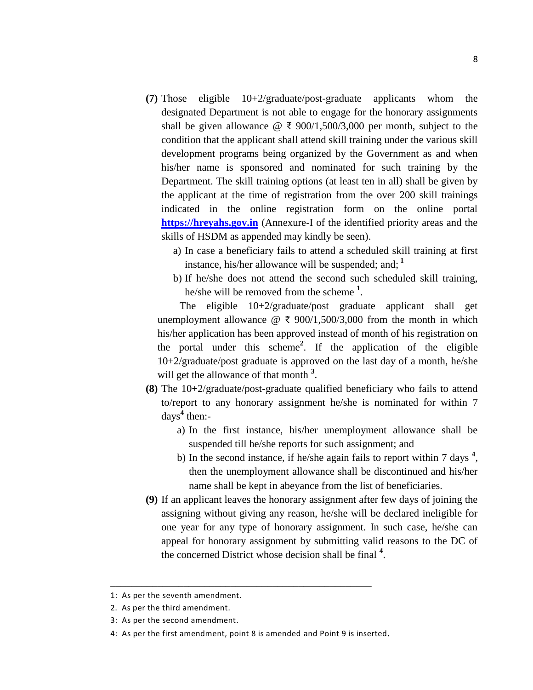- **(7)** Those eligible 10+2/graduate/post-graduate applicants whom the designated Department is not able to engage for the honorary assignments shall be given allowance  $@ \t{3} 900/1,500/3,000$  per month, subject to the condition that the applicant shall attend skill training under the various skill development programs being organized by the Government as and when his/her name is sponsored and nominated for such training by the Department. The skill training options (at least ten in all) shall be given by the applicant at the time of registration from the over 200 skill trainings indicated in the online registration form on the online portal **[https://hreyahs.gov.in](https://hreyahs.gov.in/)** (Annexure-I of the identified priority areas and the skills of HSDM as appended may kindly be seen).
	- a) In case a beneficiary fails to attend a scheduled skill training at first instance, his/her allowance will be suspended; and; **<sup>1</sup>**
	- b) If he/she does not attend the second such scheduled skill training, he/she will be removed from the scheme **<sup>1</sup>** .

 The eligible 10+2/graduate/post graduate applicant shall get unemployment allowance  $\mathcal{Q} \in \{900/1,500/3,000\}$  from the month in which his/her application has been approved instead of month of his registration on the portal under this scheme**<sup>2</sup>** . If the application of the eligible 10+2/graduate/post graduate is approved on the last day of a month, he/she will get the allowance of that month <sup>3</sup>.

- **(8)** The 10+2/graduate/post-graduate qualified beneficiary who fails to attend to/report to any honorary assignment he/she is nominated for within 7 days**<sup>4</sup>** then:
	- a) In the first instance, his/her unemployment allowance shall be suspended till he/she reports for such assignment; and
	- b) In the second instance, if he/she again fails to report within 7 days **<sup>4</sup>** , then the unemployment allowance shall be discontinued and his/her name shall be kept in abeyance from the list of beneficiaries.
- **(9)** If an applicant leaves the honorary assignment after few days of joining the assigning without giving any reason, he/she will be declared ineligible for one year for any type of honorary assignment. In such case, he/she can appeal for honorary assignment by submitting valid reasons to the DC of the concerned District whose decision shall be final **<sup>4</sup>** .

\_\_\_\_\_\_\_\_\_\_\_\_\_\_\_\_\_\_\_\_\_\_\_\_\_\_\_\_\_\_\_\_\_\_\_\_\_\_\_\_\_\_\_\_\_\_\_\_\_\_

<sup>1:</sup> As per the seventh amendment.

<sup>2.</sup> As per the third amendment.

<sup>3:</sup> As per the second amendment.

<sup>4:</sup> As per the first amendment, point 8 is amended and Point 9 is inserted.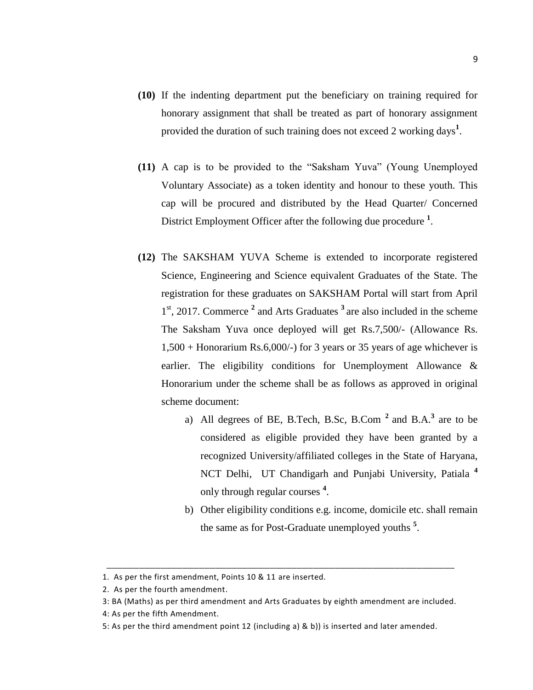- **(10)** If the indenting department put the beneficiary on training required for honorary assignment that shall be treated as part of honorary assignment provided the duration of such training does not exceed 2 working days<sup>1</sup>.
- **(11)** A cap is to be provided to the "Saksham Yuva" (Young Unemployed Voluntary Associate) as a token identity and honour to these youth. This cap will be procured and distributed by the Head Quarter/ Concerned District Employment Officer after the following due procedure <sup>1</sup>.
- **(12)** The SAKSHAM YUVA Scheme is extended to incorporate registered Science, Engineering and Science equivalent Graduates of the State. The registration for these graduates on SAKSHAM Portal will start from April 1 st, 2017. Commerce **<sup>2</sup>** and Arts Graduates **<sup>3</sup>** are also included in the scheme The Saksham Yuva once deployed will get Rs.7,500/- (Allowance Rs. 1,500 + Honorarium Rs.6,000/-) for 3 years or 35 years of age whichever is earlier. The eligibility conditions for Unemployment Allowance & Honorarium under the scheme shall be as follows as approved in original scheme document:
	- a) All degrees of BE, B.Tech, B.Sc, B.Com **<sup>2</sup>** and B.A. **3** are to be considered as eligible provided they have been granted by a recognized University/affiliated colleges in the State of Haryana, NCT Delhi, UT Chandigarh and Punjabi University, Patiala **<sup>4</sup>** only through regular courses **<sup>4</sup>** .
	- b) Other eligibility conditions e.g. income, domicile etc. shall remain the same as for Post-Graduate unemployed youths **<sup>5</sup>** .

\_\_\_\_\_\_\_\_\_\_\_\_\_\_\_\_\_\_\_\_\_\_\_\_\_\_\_\_\_\_\_\_\_\_\_\_\_\_\_\_\_\_\_\_\_\_\_\_\_\_\_\_\_\_\_\_\_\_\_\_\_\_\_\_

<sup>1.</sup> As per the first amendment, Points 10 & 11 are inserted.

<sup>2.</sup> As per the fourth amendment.

<sup>3:</sup> BA (Maths) as per third amendment and Arts Graduates by eighth amendment are included.

<sup>4:</sup> As per the fifth Amendment.

<sup>5:</sup> As per the third amendment point 12 (including a) & b)) is inserted and later amended.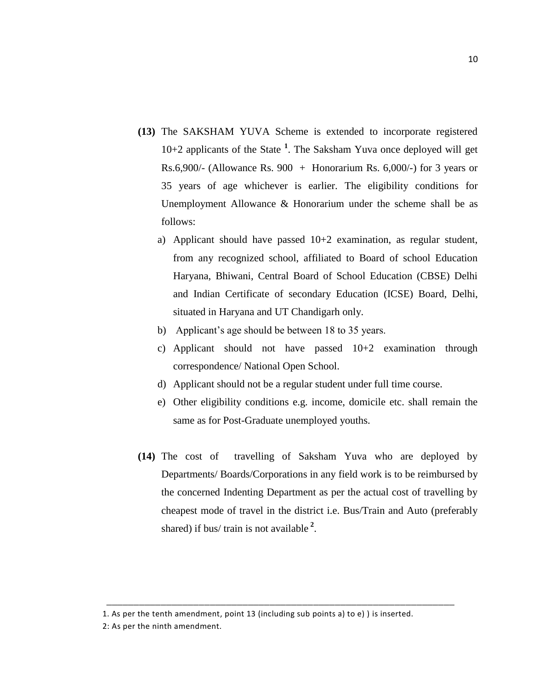- **(13)** The SAKSHAM YUVA Scheme is extended to incorporate registered 10+2 applicants of the State **<sup>1</sup>** . The Saksham Yuva once deployed will get Rs.6,900/- (Allowance Rs. 900 + Honorarium Rs. 6,000/-) for 3 years or 35 years of age whichever is earlier. The eligibility conditions for Unemployment Allowance & Honorarium under the scheme shall be as follows:
	- a) Applicant should have passed 10+2 examination, as regular student, from any recognized school, affiliated to Board of school Education Haryana, Bhiwani, Central Board of School Education (CBSE) Delhi and Indian Certificate of secondary Education (ICSE) Board, Delhi, situated in Haryana and UT Chandigarh only.
	- b) Applicant's age should be between 18 to 35 years.
	- c) Applicant should not have passed 10+2 examination through correspondence/ National Open School.
	- d) Applicant should not be a regular student under full time course.
	- e) Other eligibility conditions e.g. income, domicile etc. shall remain the same as for Post-Graduate unemployed youths.
- **(14)** The cost of travelling of Saksham Yuva who are deployed by Departments/ Boards/Corporations in any field work is to be reimbursed by the concerned Indenting Department as per the actual cost of travelling by cheapest mode of travel in the district i.e. Bus/Train and Auto (preferably shared) if bus/ train is not available **<sup>2</sup>** .

1. As per the tenth amendment, point 13 (including sub points a) to e) ) is inserted.

\_\_\_\_\_\_\_\_\_\_\_\_\_\_\_\_\_\_\_\_\_\_\_\_\_\_\_\_\_\_\_\_\_\_\_\_\_\_\_\_\_\_\_\_\_\_\_\_\_\_\_\_\_\_\_\_\_\_\_\_\_\_\_\_

2: As per the ninth amendment.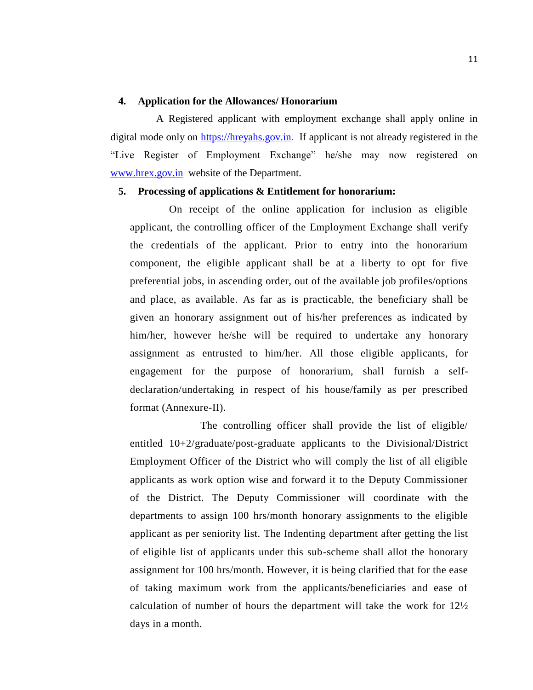#### **4. Application for the Allowances/ Honorarium**

A Registered applicant with employment exchange shall apply online in digital mode only on [https://hreyahs.gov.in](https://hreyahs.gov.in/). If applicant is not already registered in the "Live Register of Employment Exchange" he/she may now registered on [www.hrex.gov.in](http://www.hrex.gov.in/) website of the Department.

#### **5. Processing of applications & Entitlement for honorarium:**

On receipt of the online application for inclusion as eligible applicant, the controlling officer of the Employment Exchange shall verify the credentials of the applicant. Prior to entry into the honorarium component, the eligible applicant shall be at a liberty to opt for five preferential jobs, in ascending order, out of the available job profiles/options and place, as available. As far as is practicable, the beneficiary shall be given an honorary assignment out of his/her preferences as indicated by him/her, however he/she will be required to undertake any honorary assignment as entrusted to him/her. All those eligible applicants, for engagement for the purpose of honorarium, shall furnish a selfdeclaration/undertaking in respect of his house/family as per prescribed format (Annexure-II).

The controlling officer shall provide the list of eligible/ entitled 10+2/graduate/post-graduate applicants to the Divisional/District Employment Officer of the District who will comply the list of all eligible applicants as work option wise and forward it to the Deputy Commissioner of the District. The Deputy Commissioner will coordinate with the departments to assign 100 hrs/month honorary assignments to the eligible applicant as per seniority list. The Indenting department after getting the list of eligible list of applicants under this sub-scheme shall allot the honorary assignment for 100 hrs/month. However, it is being clarified that for the ease of taking maximum work from the applicants/beneficiaries and ease of calculation of number of hours the department will take the work for 12½ days in a month.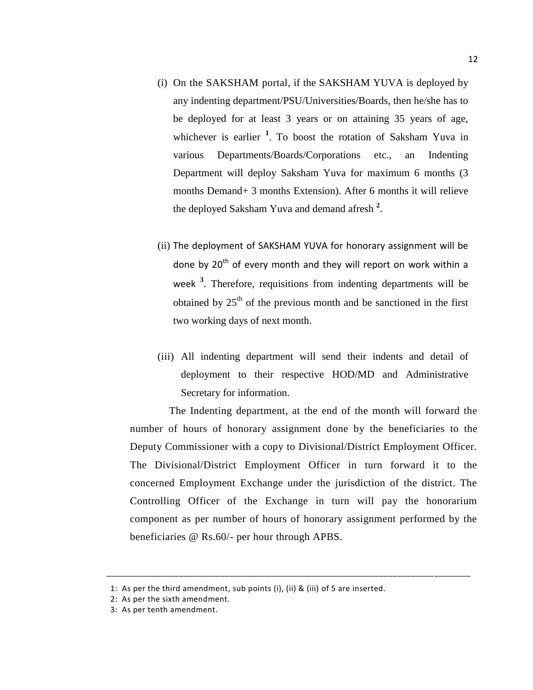- (i) On the SAKSHAM portal, if the SAKSHAM YUVA is deployed by any indenting department/PSU/Universities/Boards, then he/she has to be deployed for at least 3 years or on attaining 35 years of age, whichever is earlier **<sup>1</sup>** . To boost the rotation of Saksham Yuva in various Departments/Boards/Corporations etc., an Indenting Department will deploy Saksham Yuva for maximum 6 months (3 months Demand+ 3 months Extension). After 6 months it will relieve the deployed Saksham Yuva and demand afresh **<sup>2</sup>** .
- (ii) The deployment of SAKSHAM YUVA for honorary assignment will be done by  $20<sup>th</sup>$  of every month and they will report on work within a week **<sup>3</sup>** . Therefore, requisitions from indenting departments will be obtained by  $25<sup>th</sup>$  of the previous month and be sanctioned in the first two working days of next month.
- (iii) All indenting department will send their indents and detail of deployment to their respective HOD/MD and Administrative Secretary for information.

The Indenting department, at the end of the month will forward the number of hours of honorary assignment done by the beneficiaries to the Deputy Commissioner with a copy to Divisional/District Employment Officer. The Divisional/District Employment Officer in turn forward it to the concerned Employment Exchange under the jurisdiction of the district. The Controlling Officer of the Exchange in turn will pay the honorarium component as per number of hours of honorary assignment performed by the beneficiaries @ Rs.60/- per hour through APBS.

\_\_\_\_\_\_\_\_\_\_\_\_\_\_\_\_\_\_\_\_\_\_\_\_\_\_\_\_\_\_\_\_\_\_\_\_\_\_\_\_\_\_\_\_\_\_\_\_\_\_\_\_\_\_\_\_\_\_\_\_\_\_\_\_\_\_\_\_\_\_\_\_\_\_\_\_\_\_\_\_

<sup>1:</sup> As per the third amendment, sub points (i), (ii) & (iii) of 5 are inserted.

<sup>2:</sup> As per the sixth amendment.

<sup>3:</sup> As per tenth amendment.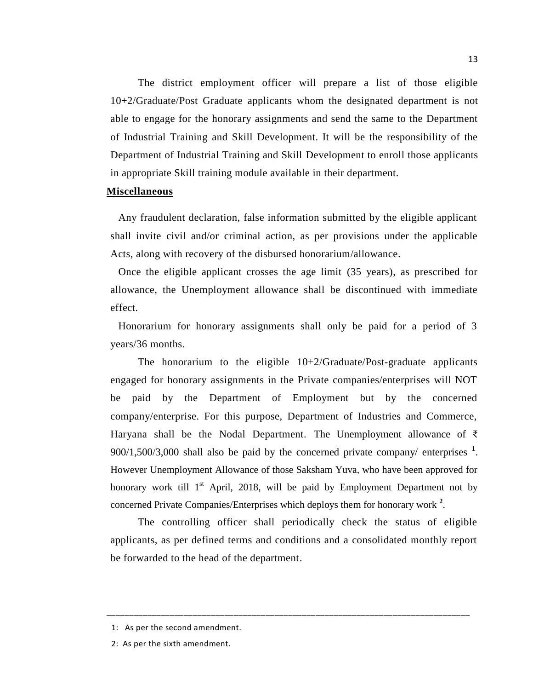The district employment officer will prepare a list of those eligible 10+2/Graduate/Post Graduate applicants whom the designated department is not able to engage for the honorary assignments and send the same to the Department of Industrial Training and Skill Development. It will be the responsibility of the Department of Industrial Training and Skill Development to enroll those applicants in appropriate Skill training module available in their department.

#### **Miscellaneous**

Any fraudulent declaration, false information submitted by the eligible applicant shall invite civil and/or criminal action, as per provisions under the applicable Acts, along with recovery of the disbursed honorarium/allowance.

Once the eligible applicant crosses the age limit (35 years), as prescribed for allowance, the Unemployment allowance shall be discontinued with immediate effect.

Honorarium for honorary assignments shall only be paid for a period of 3 years/36 months.

The honorarium to the eligible  $10+2/Gr$  aduate/Post-graduate applicants engaged for honorary assignments in the Private companies/enterprises will NOT be paid by the Department of Employment but by the concerned company/enterprise. For this purpose, Department of Industries and Commerce, Haryana shall be the Nodal Department. The Unemployment allowance of  $\bar{\zeta}$ 900/1,500/3,000 shall also be paid by the concerned private company/ enterprises **<sup>1</sup>** . However Unemployment Allowance of those Saksham Yuva, who have been approved for honorary work till  $1<sup>st</sup>$  April, 2018, will be paid by Employment Department not by concerned Private Companies/Enterprises which deploys them for honorary work **<sup>2</sup>** .

The controlling officer shall periodically check the status of eligible applicants, as per defined terms and conditions and a consolidated monthly report be forwarded to the head of the department.

\_\_\_\_\_\_\_\_\_\_\_\_\_\_\_\_\_\_\_\_\_\_\_\_\_\_\_\_\_\_\_\_\_\_\_\_\_\_\_\_\_\_\_\_\_\_\_\_\_\_\_\_\_\_\_\_\_\_\_\_\_\_\_\_\_\_\_\_\_\_\_\_\_\_\_\_\_\_\_\_

 <sup>1:</sup> As per the second amendment.

 <sup>2:</sup> As per the sixth amendment.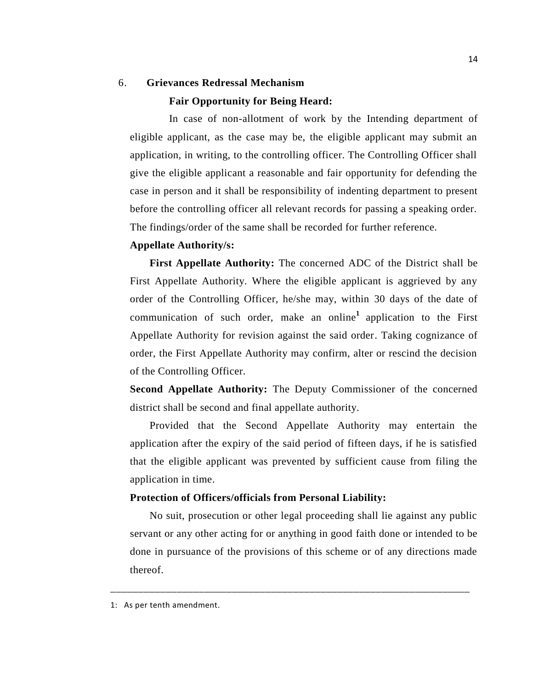## 6. **Grievances Redressal Mechanism**

#### **Fair Opportunity for Being Heard:**

In case of non-allotment of work by the Intending department of eligible applicant, as the case may be, the eligible applicant may submit an application, in writing, to the controlling officer. The Controlling Officer shall give the eligible applicant a reasonable and fair opportunity for defending the case in person and it shall be responsibility of indenting department to present before the controlling officer all relevant records for passing a speaking order. The findings/order of the same shall be recorded for further reference.

#### **Appellate Authority/s:**

**First Appellate Authority:** The concerned ADC of the District shall be First Appellate Authority. Where the eligible applicant is aggrieved by any order of the Controlling Officer, he/she may, within 30 days of the date of communication of such order, make an online**<sup>1</sup>** application to the First Appellate Authority for revision against the said order. Taking cognizance of order, the First Appellate Authority may confirm, alter or rescind the decision of the Controlling Officer.

**Second Appellate Authority:** The Deputy Commissioner of the concerned district shall be second and final appellate authority.

Provided that the Second Appellate Authority may entertain the application after the expiry of the said period of fifteen days, if he is satisfied that the eligible applicant was prevented by sufficient cause from filing the application in time.

#### **Protection of Officers/officials from Personal Liability:**

No suit, prosecution or other legal proceeding shall lie against any public servant or any other acting for or anything in good faith done or intended to be done in pursuance of the provisions of this scheme or of any directions made thereof.

\_\_\_\_\_\_\_\_\_\_\_\_\_\_\_\_\_\_\_\_\_\_\_\_\_\_\_\_\_\_\_\_\_\_\_\_\_\_\_\_\_\_\_\_\_\_\_\_\_\_\_\_\_\_\_\_\_\_\_\_\_\_\_\_\_

<sup>1:</sup> As per tenth amendment.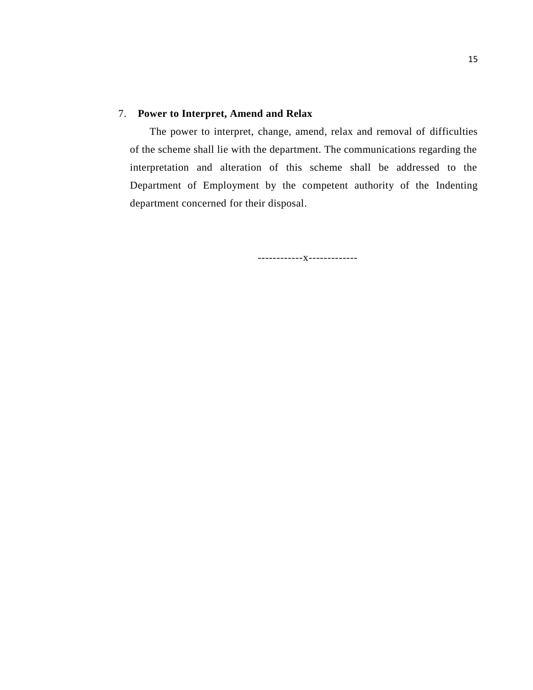# 7. **Power to Interpret, Amend and Relax**

The power to interpret, change, amend, relax and removal of difficulties of the scheme shall lie with the department. The communications regarding the interpretation and alteration of this scheme shall be addressed to the Department of Employment by the competent authority of the Indenting department concerned for their disposal.

------------x-------------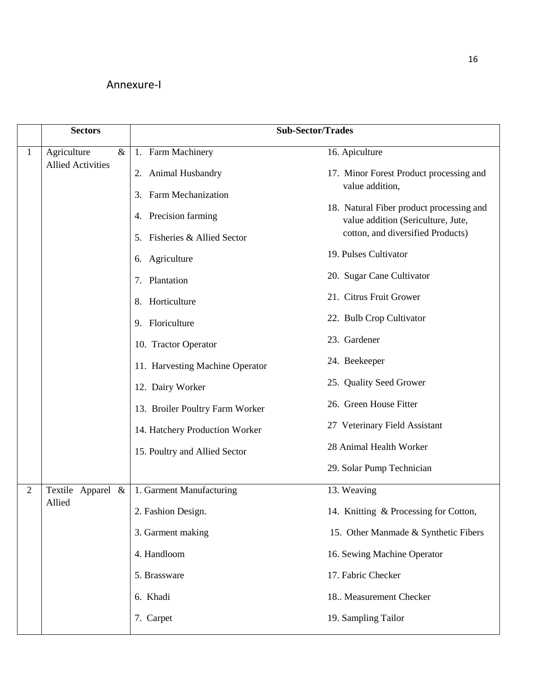# Annexure-I

|                | <b>Sectors</b>           | <b>Sub-Sector/Trades</b>        |                                                                                |  |  |                                 |                        |
|----------------|--------------------------|---------------------------------|--------------------------------------------------------------------------------|--|--|---------------------------------|------------------------|
| $\mathbf{1}$   | Agriculture<br>$\&$      | 1. Farm Machinery               | 16. Apiculture                                                                 |  |  |                                 |                        |
|                | <b>Allied Activities</b> | 2. Animal Husbandry             | 17. Minor Forest Product processing and                                        |  |  |                                 |                        |
|                |                          | 3. Farm Mechanization           | value addition,                                                                |  |  |                                 |                        |
|                |                          | 4. Precision farming            | 18. Natural Fiber product processing and<br>value addition (Sericulture, Jute, |  |  |                                 |                        |
|                |                          | 5. Fisheries & Allied Sector    | cotton, and diversified Products)                                              |  |  |                                 |                        |
|                |                          | 6. Agriculture                  | 19. Pulses Cultivator                                                          |  |  |                                 |                        |
|                |                          | 7. Plantation                   | 20. Sugar Cane Cultivator                                                      |  |  |                                 |                        |
|                |                          | 8. Horticulture                 | 21. Citrus Fruit Grower                                                        |  |  |                                 |                        |
|                |                          | 9. Floriculture                 | 22. Bulb Crop Cultivator                                                       |  |  |                                 |                        |
|                |                          | 10. Tractor Operator            | 23. Gardener                                                                   |  |  |                                 |                        |
|                |                          | 11. Harvesting Machine Operator | 24. Beekeeper                                                                  |  |  |                                 |                        |
|                |                          | 12. Dairy Worker                | 25. Quality Seed Grower                                                        |  |  |                                 |                        |
|                |                          |                                 |                                                                                |  |  | 13. Broiler Poultry Farm Worker | 26. Green House Fitter |
|                |                          | 14. Hatchery Production Worker  | 27 Veterinary Field Assistant                                                  |  |  |                                 |                        |
|                |                          | 15. Poultry and Allied Sector   | 28 Animal Health Worker                                                        |  |  |                                 |                        |
|                |                          |                                 | 29. Solar Pump Technician                                                      |  |  |                                 |                        |
| $\overline{2}$ | Textile Apparel<br>$\&$  | 1. Garment Manufacturing        | 13. Weaving                                                                    |  |  |                                 |                        |
|                | Allied                   | 2. Fashion Design.              | 14. Knitting & Processing for Cotton,                                          |  |  |                                 |                        |
|                |                          | 3. Garment making               | 15. Other Manmade & Synthetic Fibers                                           |  |  |                                 |                        |
|                |                          | 4. Handloom                     | 16. Sewing Machine Operator                                                    |  |  |                                 |                        |
|                |                          | 5. Brassware                    | 17. Fabric Checker                                                             |  |  |                                 |                        |
|                |                          | 6. Khadi                        | 18. Measurement Checker                                                        |  |  |                                 |                        |
|                |                          | 7. Carpet                       | 19. Sampling Tailor                                                            |  |  |                                 |                        |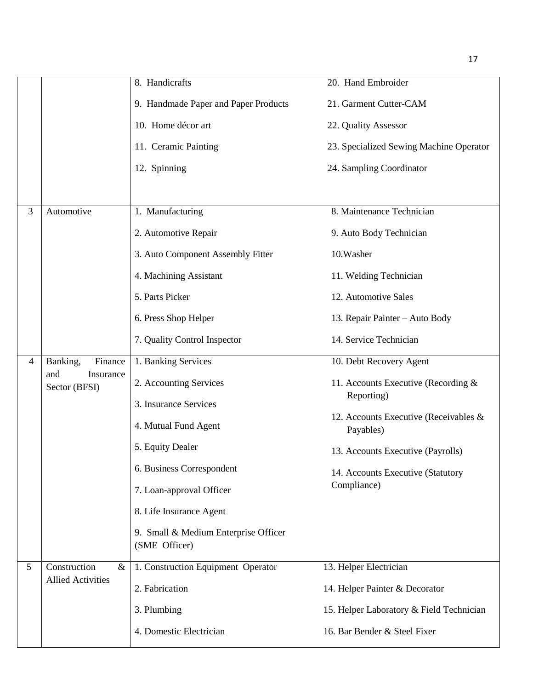|                |                                   | 8. Handicrafts                       | 20. Hand Embroider                                |
|----------------|-----------------------------------|--------------------------------------|---------------------------------------------------|
|                |                                   | 9. Handmade Paper and Paper Products | 21. Garment Cutter-CAM                            |
|                |                                   | 10. Home décor art                   | 22. Quality Assessor                              |
|                |                                   | 11. Ceramic Painting                 | 23. Specialized Sewing Machine Operator           |
|                |                                   | 12. Spinning                         | 24. Sampling Coordinator                          |
|                |                                   |                                      |                                                   |
| 3              | Automotive                        | 1. Manufacturing                     | 8. Maintenance Technician                         |
|                |                                   | 2. Automotive Repair                 | 9. Auto Body Technician                           |
|                |                                   | 3. Auto Component Assembly Fitter    | 10. Washer                                        |
|                |                                   | 4. Machining Assistant               | 11. Welding Technician                            |
|                |                                   | 5. Parts Picker                      | 12. Automotive Sales                              |
|                |                                   | 6. Press Shop Helper                 | 13. Repair Painter - Auto Body                    |
|                |                                   | 7. Quality Control Inspector         | 14. Service Technician                            |
| $\overline{4}$ | Banking,<br>Finance               | 1. Banking Services                  | 10. Debt Recovery Agent                           |
|                | and<br>Insurance<br>Sector (BFSI) | 2. Accounting Services               | 11. Accounts Executive (Recording &<br>Reporting) |
|                |                                   | 3. Insurance Services                |                                                   |
|                |                                   |                                      | 12. Accounts Executive (Receivables &             |
|                |                                   | 4. Mutual Fund Agent                 | Payables)                                         |
|                |                                   | 5. Equity Dealer                     | 13. Accounts Executive (Payrolls)                 |
|                |                                   | 6. Business Correspondent            | 14. Accounts Executive (Statutory                 |
|                |                                   | 7. Loan-approval Officer             | Compliance)                                       |
|                |                                   | 8. Life Insurance Agent              |                                                   |
|                |                                   | 9. Small & Medium Enterprise Officer |                                                   |
|                |                                   | (SME Officer)                        |                                                   |
| 5              | Construction<br>$\&$              | 1. Construction Equipment Operator   | 13. Helper Electrician                            |
|                | <b>Allied Activities</b>          | 2. Fabrication                       | 14. Helper Painter & Decorator                    |
|                |                                   | 3. Plumbing                          | 15. Helper Laboratory & Field Technician          |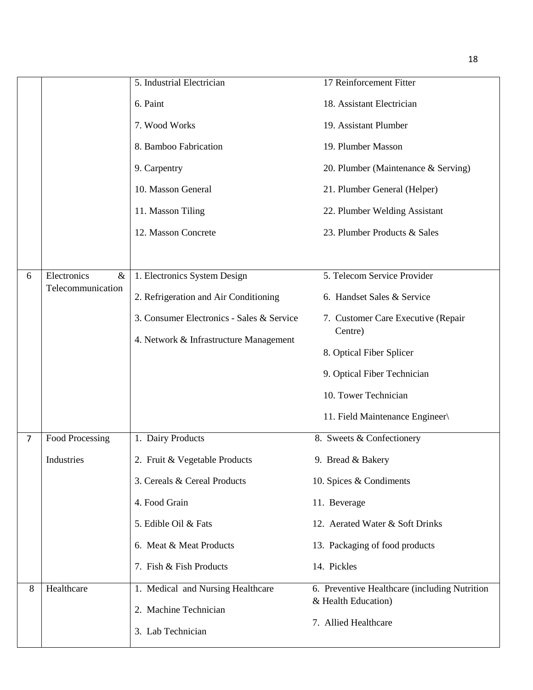|                |                     | 5. Industrial Electrician                  | 17 Reinforcement Fitter                                              |
|----------------|---------------------|--------------------------------------------|----------------------------------------------------------------------|
|                |                     | 6. Paint                                   | 18. Assistant Electrician                                            |
|                |                     | 7. Wood Works                              | 19. Assistant Plumber                                                |
|                |                     | 8. Bamboo Fabrication                      | 19. Plumber Masson                                                   |
|                |                     | 9. Carpentry                               | 20. Plumber (Maintenance & Serving)                                  |
|                |                     | 10. Masson General                         | 21. Plumber General (Helper)                                         |
|                |                     | 11. Masson Tiling                          | 22. Plumber Welding Assistant                                        |
|                |                     | 12. Masson Concrete                        | 23. Plumber Products & Sales                                         |
|                |                     |                                            |                                                                      |
| 6              | Electronics<br>$\&$ | 1. Electronics System Design               | 5. Telecom Service Provider                                          |
|                | Telecommunication   | 2. Refrigeration and Air Conditioning      | 6. Handset Sales & Service                                           |
|                |                     | 3. Consumer Electronics - Sales & Service  | 7. Customer Care Executive (Repair<br>Centre)                        |
|                |                     | 4. Network & Infrastructure Management     | 8. Optical Fiber Splicer                                             |
|                |                     |                                            | 9. Optical Fiber Technician                                          |
|                |                     |                                            | 10. Tower Technician                                                 |
|                |                     |                                            | 11. Field Maintenance Engineer\                                      |
| $\overline{7}$ | Food Processing     | 1. Dairy Products                          | 8. Sweets & Confectionery                                            |
|                | Industries          | 2. Fruit & Vegetable Products              | 9. Bread & Bakery                                                    |
|                |                     | 3. Cereals & Cereal Products               | 10. Spices & Condiments                                              |
|                |                     | 4. Food Grain                              | 11. Beverage                                                         |
|                |                     | 5. Edible Oil & Fats                       | 12. Aerated Water & Soft Drinks                                      |
|                |                     | 6. Meat & Meat Products                    | 13. Packaging of food products                                       |
|                |                     | 7. Fish & Fish Products                    | 14. Pickles                                                          |
| 8              | Healthcare          | 1. Medical and Nursing Healthcare          | 6. Preventive Healthcare (including Nutrition<br>& Health Education) |
|                |                     | 2. Machine Technician<br>3. Lab Technician | 7. Allied Healthcare                                                 |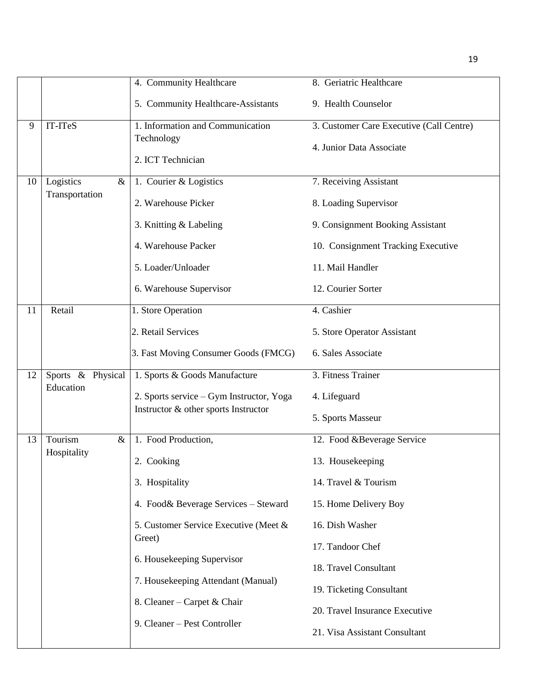|    |                   | 4. Community Healthcare                  | 8. Geriatric Healthcare                  |
|----|-------------------|------------------------------------------|------------------------------------------|
|    |                   | 5. Community Healthcare-Assistants       | 9. Health Counselor                      |
| 9  | IT-ITeS           | 1. Information and Communication         | 3. Customer Care Executive (Call Centre) |
|    |                   | Technology                               | 4. Junior Data Associate                 |
|    |                   | 2. ICT Technician                        |                                          |
| 10 | Logistics<br>$\&$ | 1. Courier & Logistics                   | 7. Receiving Assistant                   |
|    | Transportation    | 2. Warehouse Picker                      | 8. Loading Supervisor                    |
|    |                   | 3. Knitting & Labeling                   | 9. Consignment Booking Assistant         |
|    |                   | 4. Warehouse Packer                      | 10. Consignment Tracking Executive       |
|    |                   | 5. Loader/Unloader                       | 11. Mail Handler                         |
|    |                   | 6. Warehouse Supervisor                  | 12. Courier Sorter                       |
| 11 | Retail            | 1. Store Operation                       | 4. Cashier                               |
|    |                   | 2. Retail Services                       | 5. Store Operator Assistant              |
|    |                   | 3. Fast Moving Consumer Goods (FMCG)     | 6. Sales Associate                       |
| 12 | Sports & Physical | 1. Sports & Goods Manufacture            | 3. Fitness Trainer                       |
|    | Education         | 2. Sports service - Gym Instructor, Yoga | 4. Lifeguard                             |
|    |                   | Instructor & other sports Instructor     | 5. Sports Masseur                        |
| 13 | Tourism<br>$\&$   | 1. Food Production,                      | 12. Food &Beverage Service               |
|    | Hospitality       |                                          |                                          |
|    |                   | 2. Cooking                               | 13. Housekeeping                         |
|    |                   | 3. Hospitality                           | 14. Travel & Tourism                     |
|    |                   | 4. Food& Beverage Services - Steward     | 15. Home Delivery Boy                    |
|    |                   | 5. Customer Service Executive (Meet &    | 16. Dish Washer                          |
|    |                   | Greet)                                   | 17. Tandoor Chef                         |
|    |                   | 6. Housekeeping Supervisor               | 18. Travel Consultant                    |
|    |                   | 7. Housekeeping Attendant (Manual)       |                                          |
|    |                   |                                          | 19. Ticketing Consultant                 |
|    |                   | 8. Cleaner – Carpet & Chair              | 20. Travel Insurance Executive           |
|    |                   | 9. Cleaner - Pest Controller             | 21. Visa Assistant Consultant            |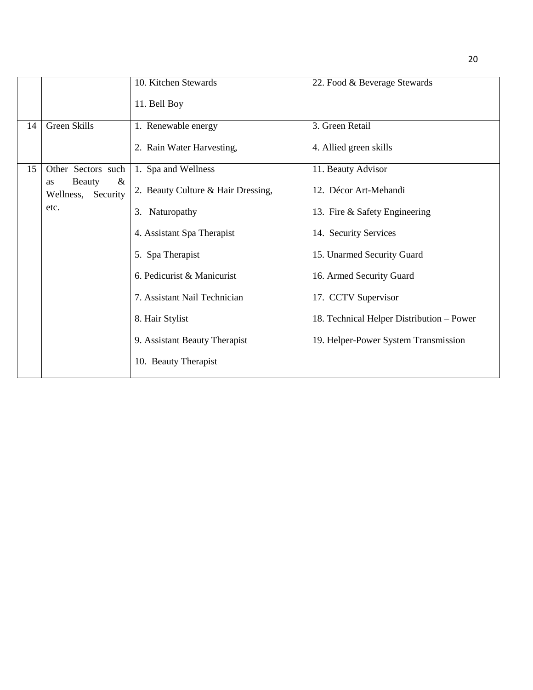|    |                                                   | 10. Kitchen Stewards               | 22. Food & Beverage Stewards              |
|----|---------------------------------------------------|------------------------------------|-------------------------------------------|
|    |                                                   | 11. Bell Boy                       |                                           |
| 14 | Green Skills                                      | 1. Renewable energy                | 3. Green Retail                           |
|    |                                                   | 2. Rain Water Harvesting,          | 4. Allied green skills                    |
| 15 | Other Sectors such                                | 1. Spa and Wellness                | 11. Beauty Advisor                        |
|    | $\&$<br><b>Beauty</b><br>as<br>Wellness, Security | 2. Beauty Culture & Hair Dressing, | 12. Décor Art-Mehandi                     |
|    | etc.                                              | 3. Naturopathy                     | 13. Fire & Safety Engineering             |
|    |                                                   | 4. Assistant Spa Therapist         | 14. Security Services                     |
|    |                                                   | 5. Spa Therapist                   | 15. Unarmed Security Guard                |
|    |                                                   | 6. Pedicurist & Manicurist         | 16. Armed Security Guard                  |
|    |                                                   | 7. Assistant Nail Technician       | 17. CCTV Supervisor                       |
|    |                                                   | 8. Hair Stylist                    | 18. Technical Helper Distribution – Power |
|    |                                                   | 9. Assistant Beauty Therapist      | 19. Helper-Power System Transmission      |
|    |                                                   | 10. Beauty Therapist               |                                           |